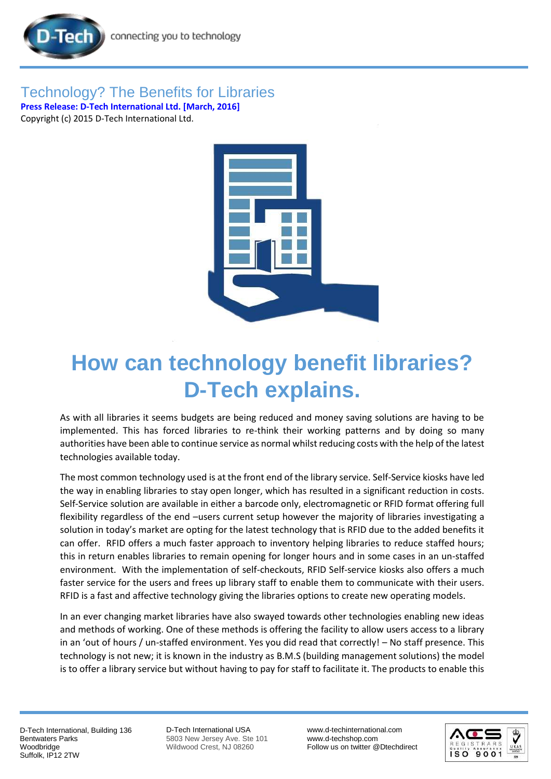



## **How can technology benefit libraries? D-Tech explains.**

As with all libraries it seems budgets are being reduced and money saving solutions are having to be implemented. This has forced libraries to re-think their working patterns and by doing so many authorities have been able to continue service as normal whilst reducing costs with the help of the latest technologies available today.

The most common technology used is at the front end of the library service. Self-Service kiosks have led the way in enabling libraries to stay open longer, which has resulted in a significant reduction in costs. Self-Service solution are available in either a barcode only, electromagnetic or RFID format offering full flexibility regardless of the end –users current setup however the majority of libraries investigating a solution in today's market are opting for the latest technology that is RFID due to the added benefits it can offer. RFID offers a much faster approach to inventory helping libraries to reduce staffed hours; this in return enables libraries to remain opening for longer hours and in some cases in an un-staffed environment. With the implementation of self-checkouts, RFID Self-service kiosks also offers a much faster service for the users and frees up library staff to enable them to communicate with their users. RFID is a fast and affective technology giving the libraries options to create new operating models.

In an ever changing market libraries have also swayed towards other technologies enabling new ideas and methods of working. One of these methods is offering the facility to allow users access to a library in an 'out of hours / un-staffed environment. Yes you did read that correctly! – No staff presence. This technology is not new; it is known in the industry as B.M.S (building management solutions) the model is to offer a library service but without having to pay for staff to facilitate it. The products to enable this

D-Tech International, Building 136 Bentwaters Parks Woodbridge Suffolk, IP12 2TW

D-Tech International USA 5803 New Jersey Ave. Ste 101 Wildwood Crest, NJ 08260

[www.d-techinternational.com](http://www.d-techinternational.com/) [www.d-techshop.com](http://www.d-techshop.com/) Follow us on twitter @Dtechdirect

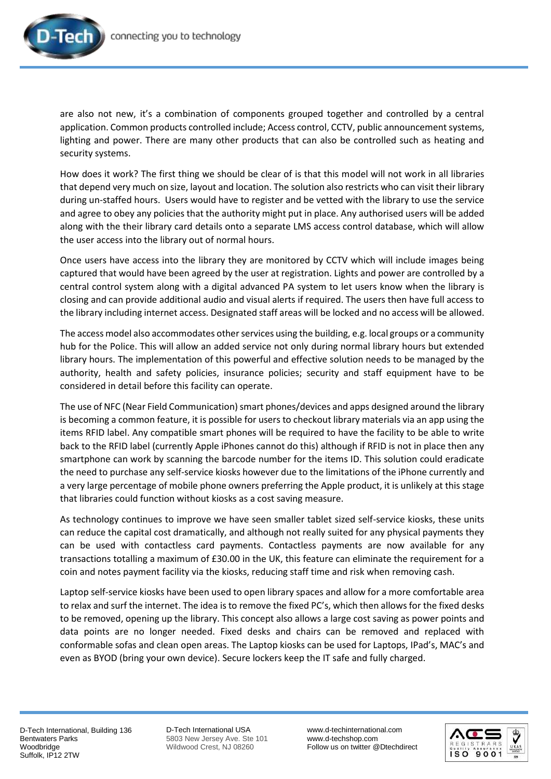

are also not new, it's a combination of components grouped together and controlled by a central application. Common products controlled include; Access control, CCTV, public announcement systems, lighting and power. There are many other products that can also be controlled such as heating and security systems.

How does it work? The first thing we should be clear of is that this model will not work in all libraries that depend very much on size, layout and location. The solution also restricts who can visit their library during un-staffed hours. Users would have to register and be vetted with the library to use the service and agree to obey any policies that the authority might put in place. Any authorised users will be added along with the their library card details onto a separate LMS access control database, which will allow the user access into the library out of normal hours.

Once users have access into the library they are monitored by CCTV which will include images being captured that would have been agreed by the user at registration. Lights and power are controlled by a central control system along with a digital advanced PA system to let users know when the library is closing and can provide additional audio and visual alerts if required. The users then have full access to the library including internet access. Designated staff areas will be locked and no access will be allowed.

The access model also accommodates other services using the building, e.g. local groups or a community hub for the Police. This will allow an added service not only during normal library hours but extended library hours. The implementation of this powerful and effective solution needs to be managed by the authority, health and safety policies, insurance policies; security and staff equipment have to be considered in detail before this facility can operate.

The use of NFC (Near Field Communication) smart phones/devices and apps designed around the library is becoming a common feature, it is possible for users to checkout library materials via an app using the items RFID label. Any compatible smart phones will be required to have the facility to be able to write back to the RFID label (currently Apple iPhones cannot do this) although if RFID is not in place then any smartphone can work by scanning the barcode number for the items ID. This solution could eradicate the need to purchase any self-service kiosks however due to the limitations of the iPhone currently and a very large percentage of mobile phone owners preferring the Apple product, it is unlikely at this stage that libraries could function without kiosks as a cost saving measure.

As technology continues to improve we have seen smaller tablet sized self-service kiosks, these units can reduce the capital cost dramatically, and although not really suited for any physical payments they can be used with contactless card payments. Contactless payments are now available for any transactions totalling a maximum of £30.00 in the UK, this feature can eliminate the requirement for a coin and notes payment facility via the kiosks, reducing staff time and risk when removing cash.

Laptop self-service kiosks have been used to open library spaces and allow for a more comfortable area to relax and surf the internet. The idea is to remove the fixed PC's, which then allows for the fixed desks to be removed, opening up the library. This concept also allows a large cost saving as power points and data points are no longer needed. Fixed desks and chairs can be removed and replaced with conformable sofas and clean open areas. The Laptop kiosks can be used for Laptops, IPad's, MAC's and even as BYOD (bring your own device). Secure lockers keep the IT safe and fully charged.

D-Tech International USA 5803 New Jersey Ave. Ste 101 Wildwood Crest, NJ 08260

[www.d-techinternational.com](http://www.d-techinternational.com/) [www.d-techshop.com](http://www.d-techshop.com/) Follow us on twitter @Dtechdirect